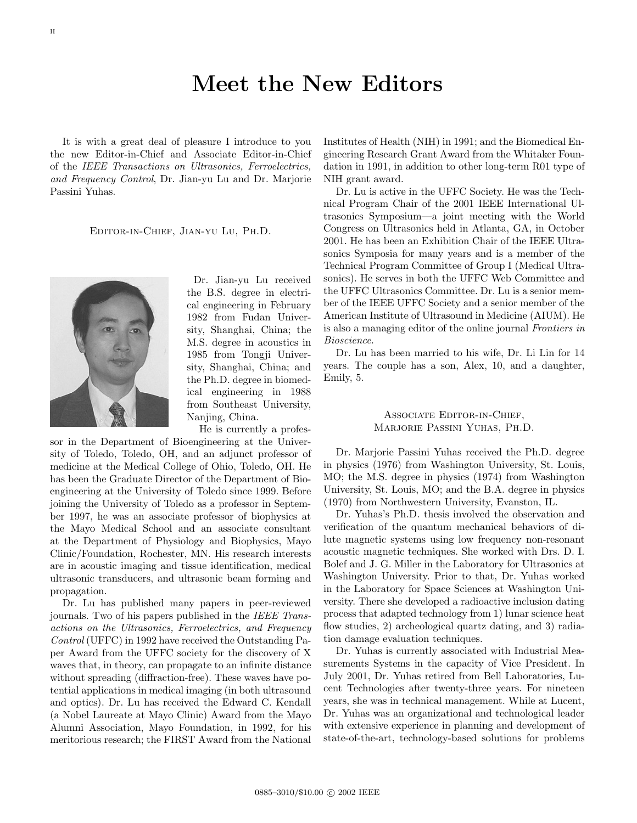## **Meet the New Editors**

It is with a great deal of pleasure I introduce to you the new Editor-in-Chief and Associate Editor-in-Chief of the IEEE Transactions on Ultrasonics, Ferroelectrics, and Frequency Control, Dr. Jian-yu Lu and Dr. Marjorie Passini Yuhas.

Editor-in-Chief, Jian-yu Lu, Ph.D.

Dr. Jian-yu Lu received the B.S. degree in electrical engineering in February 1982 from Fudan University, Shanghai, China; the M.S. degree in acoustics in 1985 from Tongji University, Shanghai, China; and the Ph.D. degree in biomedical engineering in 1988 from Southeast University, Nanjing, China.

He is currently a profes-

sor in the Department of Bioengineering at the University of Toledo, Toledo, OH, and an adjunct professor of medicine at the Medical College of Ohio, Toledo, OH. He has been the Graduate Director of the Department of Bioengineering at the University of Toledo since 1999. Before joining the University of Toledo as a professor in September 1997, he was an associate professor of biophysics at the Mayo Medical School and an associate consultant at the Department of Physiology and Biophysics, Mayo Clinic/Foundation, Rochester, MN. His research interests are in acoustic imaging and tissue identification, medical ultrasonic transducers, and ultrasonic beam forming and propagation.

Dr. Lu has published many papers in peer-reviewed journals. Two of his papers published in the IEEE Transactions on the Ultrasonics, Ferroelectrics, and Frequency Control (UFFC) in 1992 have received the Outstanding Paper Award from the UFFC society for the discovery of X waves that, in theory, can propagate to an infinite distance without spreading (diffraction-free). These waves have potential applications in medical imaging (in both ultrasound and optics). Dr. Lu has received the Edward C. Kendall (a Nobel Laureate at Mayo Clinic) Award from the Mayo Alumni Association, Mayo Foundation, in 1992, for his meritorious research; the FIRST Award from the National

Institutes of Health (NIH) in 1991; and the Biomedical Engineering Research Grant Award from the Whitaker Foundation in 1991, in addition to other long-term R01 type of NIH grant award.

Dr. Lu is active in the UFFC Society. He was the Technical Program Chair of the 2001 IEEE International Ultrasonics Symposium—a joint meeting with the World Congress on Ultrasonics held in Atlanta, GA, in October 2001. He has been an Exhibition Chair of the IEEE Ultrasonics Symposia for many years and is a member of the Technical Program Committee of Group I (Medical Ultrasonics). He serves in both the UFFC Web Committee and the UFFC Ultrasonics Committee. Dr. Lu is a senior member of the IEEE UFFC Society and a senior member of the American Institute of Ultrasound in Medicine (AIUM). He is also a managing editor of the online journal Frontiers in Bioscience.

Dr. Lu has been married to his wife, Dr. Li Lin for 14 years. The couple has a son, Alex, 10, and a daughter, Emily, 5.

## Associate Editor-in-Chief, Marjorie Passini Yuhas, Ph.D.

Dr. Marjorie Passini Yuhas received the Ph.D. degree in physics (1976) from Washington University, St. Louis, MO; the M.S. degree in physics (1974) from Washington University, St. Louis, MO; and the B.A. degree in physics (1970) from Northwestern University, Evanston, IL.

Dr. Yuhas's Ph.D. thesis involved the observation and verification of the quantum mechanical behaviors of dilute magnetic systems using low frequency non-resonant acoustic magnetic techniques. She worked with Drs. D. I. Bolef and J. G. Miller in the Laboratory for Ultrasonics at Washington University. Prior to that, Dr. Yuhas worked in the Laboratory for Space Sciences at Washington University. There she developed a radioactive inclusion dating process that adapted technology from 1) lunar science heat flow studies, 2) archeological quartz dating, and 3) radiation damage evaluation techniques.

Dr. Yuhas is currently associated with Industrial Measurements Systems in the capacity of Vice President. In July 2001, Dr. Yuhas retired from Bell Laboratories, Lucent Technologies after twenty-three years. For nineteen years, she was in technical management. While at Lucent, Dr. Yuhas was an organizational and technological leader with extensive experience in planning and development of state-of-the-art, technology-based solutions for problems